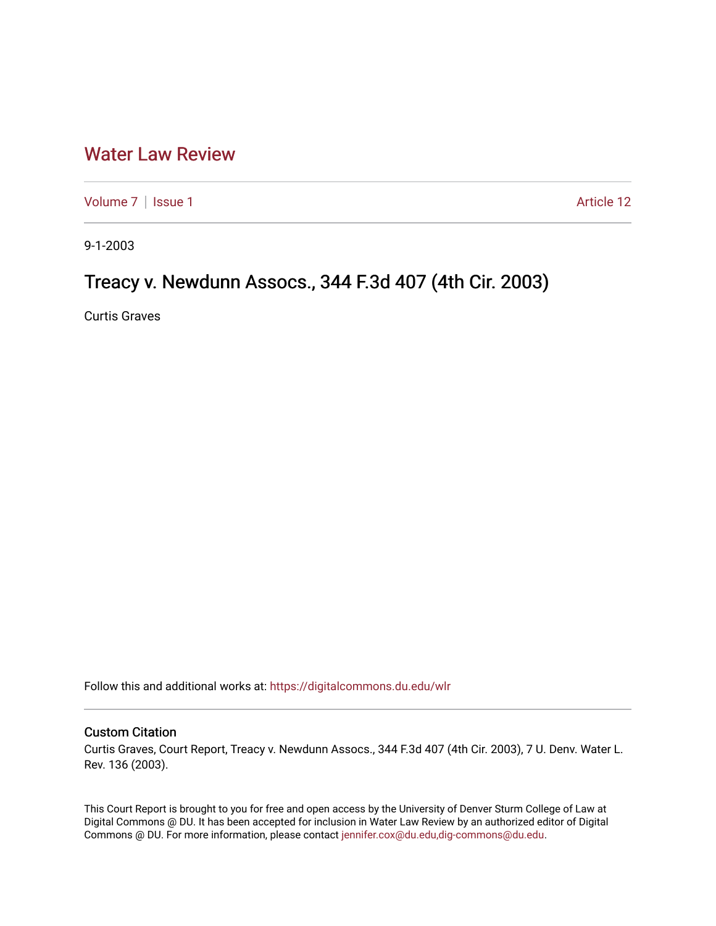## [Water Law Review](https://digitalcommons.du.edu/wlr)

[Volume 7](https://digitalcommons.du.edu/wlr/vol7) | [Issue 1](https://digitalcommons.du.edu/wlr/vol7/iss1) Article 12

9-1-2003

## Treacy v. Newdunn Assocs., 344 F.3d 407 (4th Cir. 2003)

Curtis Graves

Follow this and additional works at: [https://digitalcommons.du.edu/wlr](https://digitalcommons.du.edu/wlr?utm_source=digitalcommons.du.edu%2Fwlr%2Fvol7%2Fiss1%2F12&utm_medium=PDF&utm_campaign=PDFCoverPages) 

## Custom Citation

Curtis Graves, Court Report, Treacy v. Newdunn Assocs., 344 F.3d 407 (4th Cir. 2003), 7 U. Denv. Water L. Rev. 136 (2003).

This Court Report is brought to you for free and open access by the University of Denver Sturm College of Law at Digital Commons @ DU. It has been accepted for inclusion in Water Law Review by an authorized editor of Digital Commons @ DU. For more information, please contact [jennifer.cox@du.edu,dig-commons@du.edu.](mailto:jennifer.cox@du.edu,dig-commons@du.edu)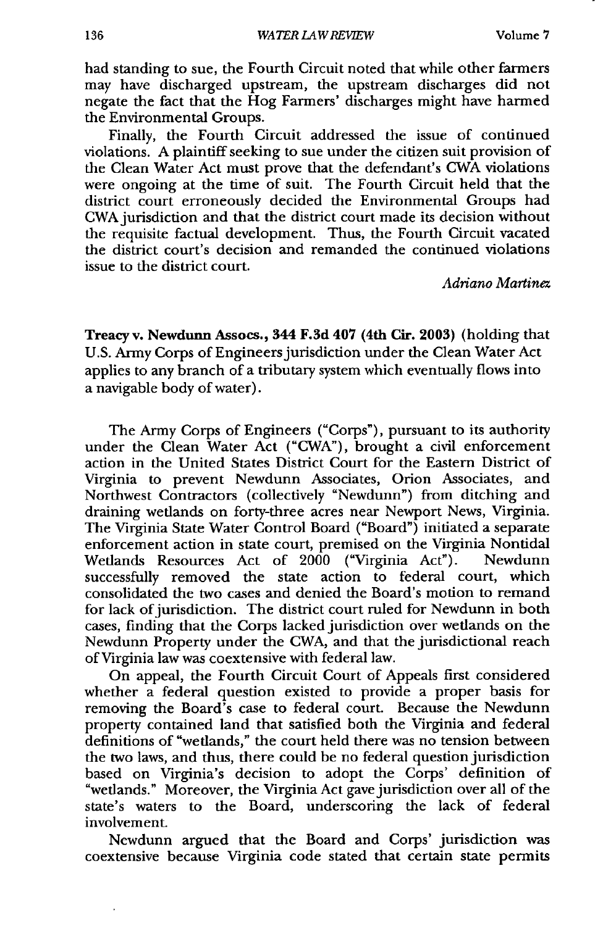had standing to sue, the Fourth Circuit noted that while other farmers may have discharged upstream, the upstream discharges did not negate the fact that the Hog Farmers' discharges might have harmed the Environmental Groups.

Finally, the Fourth Circuit addressed the issue of continued violations. A plaintiff seeking to sue under the citizen suit provision of the Clean Water Act must prove that the defendant's CWA violations were ongoing at the time of suit. The Fourth Circuit held that the district court erroneously decided the Environmental Groups had CWA jurisdiction and that the district court made its decision without the requisite factual development. Thus, the Fourth Circuit vacated the district court's decision and remanded the continued violations issue to the district court.

*Ad-riano Martinez*

Treacyv. Newdunn Assocs., 344 F.3d 407 (4th Cir. **2003)** (holding that U.S. Army Corps of Engineers jurisdiction under the Clean Water Act applies to any branch of a tributary system which eventually flows into a navigable body of water).

The Army Corps of Engineers ("Corps"), pursuant to its authority under the Clean Water Act ("CWA"), brought a civil enforcement action in the United States District Court for the Eastern District of Virginia to prevent Newdunn Associates, Orion Associates, and Northwest Contractors (collectively "Newdunn") from ditching and draining wetlands on forty-three acres near Newport News, Virginia. The Virginia State Water Control Board ("Board") initiated a separate enforcement action in state court, premised on the Virginia Nontidal Wetlands Resources Act of 2000 ("Virginia Act"). Newdunn successfully removed the state action to federal court, which consolidated the two cases and denied the Board's motion to remand for lack of jurisdiction. The district court ruled for Newdunn in both cases, finding that the Corps lacked jurisdiction over wetlands on the Newdunn Property under the CWA, and that the jurisdictional reach of Virginia law was coextensive with federal law.

On appeal, the Fourth Circuit Court of Appeals first considered whether a federal question existed to provide a proper basis for removing the Board's case to federal court. Because the Newdunn property contained land that satisfied both the Virginia and federal definitions of "wetlands," the court held there was no tension between the two laws, and thus, there could be no federal question jurisdiction based on Virginia's decision to adopt the Corps' definition of "wetlands." Moreover, the Virginia Act gave jurisdiction over all of the state's waters to the Board, underscoring the lack of federal involvement.

Newdunn argued that the Board and Corps' jurisdiction was coextensive because Virginia code stated that certain state permits